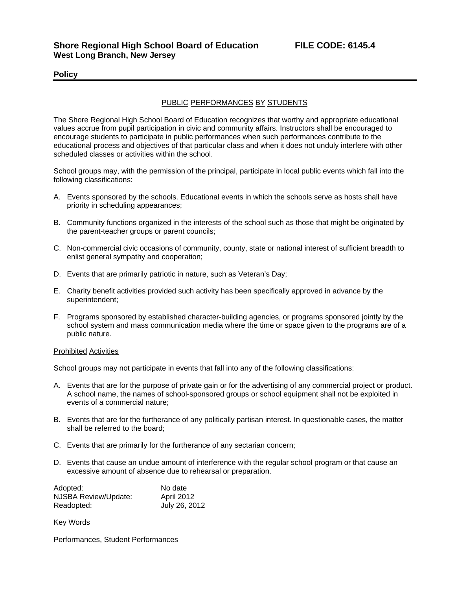## **Policy**

## PUBLIC PERFORMANCES BY STUDENTS

The Shore Regional High School Board of Education recognizes that worthy and appropriate educational values accrue from pupil participation in civic and community affairs. Instructors shall be encouraged to encourage students to participate in public performances when such performances contribute to the educational process and objectives of that particular class and when it does not unduly interfere with other scheduled classes or activities within the school.

School groups may, with the permission of the principal, participate in local public events which fall into the following classifications:

- A. Events sponsored by the schools. Educational events in which the schools serve as hosts shall have priority in scheduling appearances;
- B. Community functions organized in the interests of the school such as those that might be originated by the parent-teacher groups or parent councils;
- C. Non-commercial civic occasions of community, county, state or national interest of sufficient breadth to enlist general sympathy and cooperation;
- D. Events that are primarily patriotic in nature, such as Veteran's Day;
- E. Charity benefit activities provided such activity has been specifically approved in advance by the superintendent;
- F. Programs sponsored by established character-building agencies, or programs sponsored jointly by the school system and mass communication media where the time or space given to the programs are of a public nature.

## Prohibited Activities

School groups may not participate in events that fall into any of the following classifications:

- A. Events that are for the purpose of private gain or for the advertising of any commercial project or product. A school name, the names of school-sponsored groups or school equipment shall not be exploited in events of a commercial nature;
- B. Events that are for the furtherance of any politically partisan interest. In questionable cases, the matter shall be referred to the board;
- C. Events that are primarily for the furtherance of any sectarian concern;
- D. Events that cause an undue amount of interference with the regular school program or that cause an excessive amount of absence due to rehearsal or preparation.

| Adopted:             | No date       |
|----------------------|---------------|
| NJSBA Review/Update: | April 2012    |
| Readopted:           | July 26, 2012 |

Key Words

Performances, Student Performances